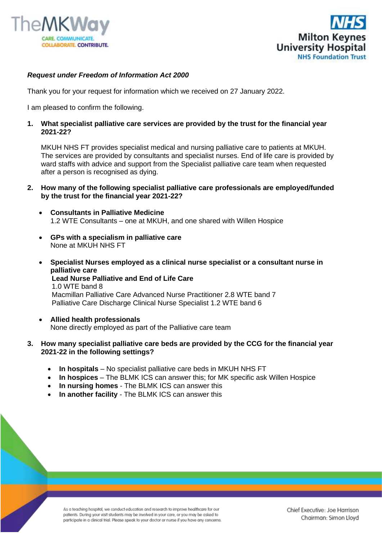



## *Request under Freedom of Information Act 2000*

Thank you for your request for information which we received on 27 January 2022.

I am pleased to confirm the following.

## **1. What specialist palliative care services are provided by the trust for the financial year 2021-22?**

MKUH NHS FT provides specialist medical and nursing palliative care to patients at MKUH. The services are provided by consultants and specialist nurses. End of life care is provided by ward staffs with advice and support from the Specialist palliative care team when requested after a person is recognised as dying.

- **2. How many of the following specialist palliative care professionals are employed/funded by the trust for the financial year 2021-22?**
	- **Consultants in Palliative Medicine**  1.2 WTE Consultants *–* one at MKUH, and one shared with Willen Hospice
	- **GPs with a specialism in palliative care**  None at MKUH NHS FT
	- **Specialist Nurses employed as a clinical nurse specialist or a consultant nurse in palliative care Lead Nurse Palliative and End of Life Care** 1.0 WTE band 8 Macmillan Palliative Care Advanced Nurse Practitioner 2.8 WTE band 7 Palliative Care Discharge Clinical Nurse Specialist 1.2 WTE band 6
	- **Allied health professionals**  None directly employed as part of the Palliative care team

## **3. How many specialist palliative care beds are provided by the CCG for the financial year 2021-22 in the following settings?**

- **In hospitals** No specialist palliative care beds in MKUH NHS FT
- **In hospices** The BLMK ICS can answer this; for MK specific ask Willen Hospice
- **In nursing homes**  The BLMK ICS can answer this
- **In another facility** The BLMK ICS can answer this

As a teaching hospital, we conduct education and research to improve healthcare for our patients. During your visit students may be involved in your care, or you may be asked to participate in a clinical trial. Please speak to your doctor or nurse if you have any concerns.